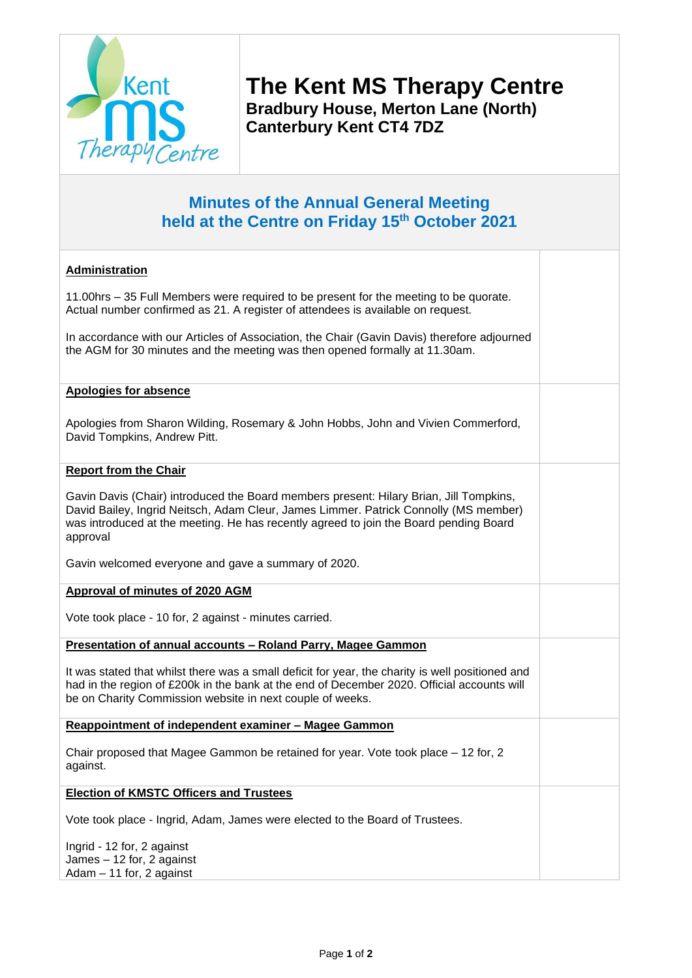

Adam – 11 for, 2 against

**The Kent MS Therapy Centre Bradbury House, Merton Lane (North) Canterbury Kent CT4 7DZ**

## **Minutes of the Annual General Meeting held at the Centre on Friday 15th October 2021**

## **Administration** 11.00hrs – 35 Full Members were required to be present for the meeting to be quorate. Actual number confirmed as 21. A register of attendees is available on request. In accordance with our Articles of Association, the Chair (Gavin Davis) therefore adjourned the AGM for 30 minutes and the meeting was then opened formally at 11.30am. **Apologies for absence** Apologies from Sharon Wilding, Rosemary & John Hobbs, John and Vivien Commerford, David Tompkins, Andrew Pitt. **Report from the Chair** Gavin Davis (Chair) introduced the Board members present: Hilary Brian, Jill Tompkins, David Bailey, Ingrid Neitsch, Adam Cleur, James Limmer. Patrick Connolly (MS member) was introduced at the meeting. He has recently agreed to join the Board pending Board approval Gavin welcomed everyone and gave a summary of 2020. **Approval of minutes of 2020 AGM** Vote took place - 10 for, 2 against - minutes carried. **Presentation of annual accounts – Roland Parry, Magee Gammon** It was stated that whilst there was a small deficit for year, the charity is well positioned and had in the region of £200k in the bank at the end of December 2020. Official accounts will be on Charity Commission website in next couple of weeks. **Reappointment of independent examiner – Magee Gammon** Chair proposed that Magee Gammon be retained for year. Vote took place – 12 for, 2 against. **Election of KMSTC Officers and Trustees** Vote took place - Ingrid, Adam, James were elected to the Board of Trustees. Ingrid - 12 for, 2 against James – 12 for, 2 against